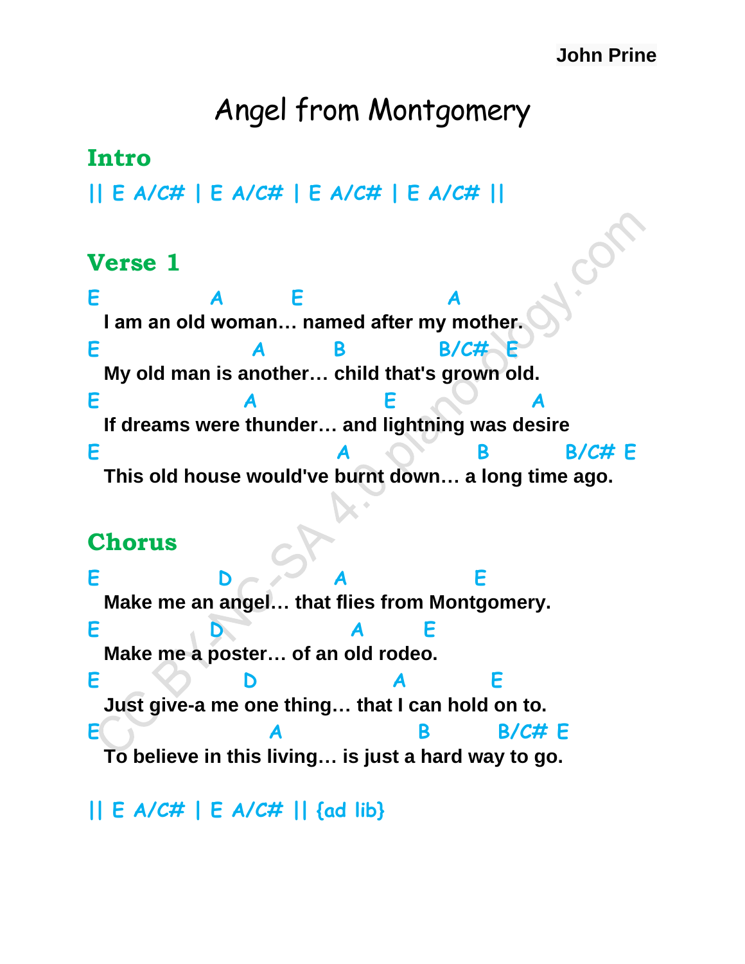#### **John Prine**

# Angel from Montgomery

### **Intro**

**|| E A/C# | E A/C# | E A/C# | E A/C# ||**

#### **Verse 1**

**E A E A I am an old woman… named after my mother. E A B B/C# E My old man is another… child that's grown old.** E A E **A If dreams were thunder… and lightning was desire E** A B B/C# E  **This old house would've burnt down… a long time ago.**

#### **Chorus**

E D A E  **Make me an angel… that flies from Montgomery. E D A E Make me a poster… of an old rodeo. E D A E Just give-a me one thing… that I can hold on to. E A** B B/C# **F To believe in this living… is just a hard way to go.**

#### **|| E A/C# | E A/C# || {ad lib}**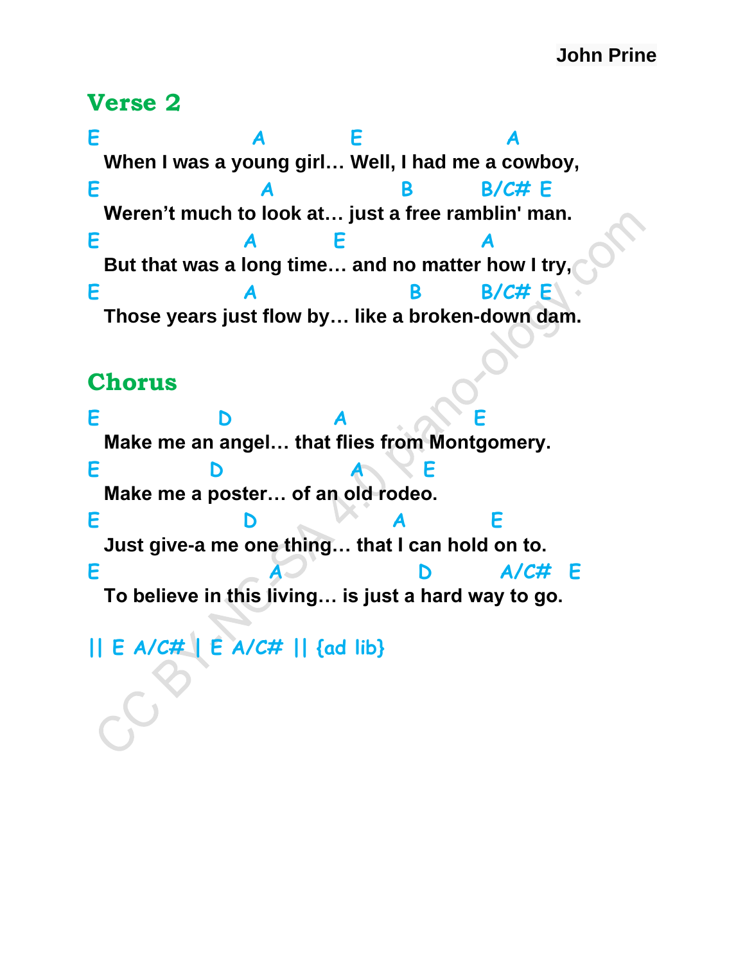#### **Verse 2**

**E A E A When I was a young girl… Well, I had me a cowboy, E** A B B/C# E  **Weren't much to look at… just a free ramblin' man. E A E A But that was a long time… and no matter how I try, E** A B B/C# E  **Those years just flow by… like a broken-down dam.**

#### **Chorus**

**E D A E Make me an angel… that flies from Montgomery. E D A E Make me a poster… of an old rodeo. E D A E Just give-a me one thing… that I can hold on to. E A D A/C# E To believe in this living… is just a hard way to go. || E A/C# | E A/C# || {ad lib}**